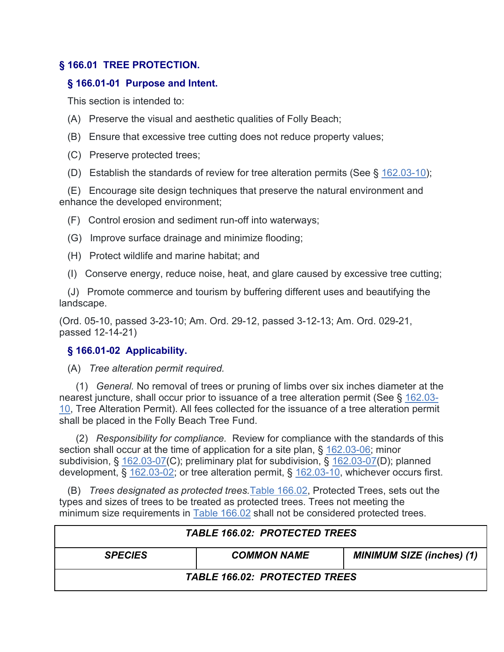# **§ 166.01 TREE PROTECTION.**

### **§ 166.01-01 Purpose and Intent.**

This section is intended to:

- (A) Preserve the visual and aesthetic qualities of Folly Beach;
- (B) Ensure that excessive tree cutting does not reduce property values;
- (C) Preserve protected trees;
- (D) Establish the standards of review for tree alteration permits (See § [162.03-10\)](https://codelibrary.amlegal.com/codes/follybeach/latest/follyb_sc/0-0-0-28858#JD_162.03-10);

 (E) Encourage site design techniques that preserve the natural environment and enhance the developed environment;

- (F) Control erosion and sediment run-off into waterways;
- (G) Improve surface drainage and minimize flooding;
- (H) Protect wildlife and marine habitat; and
- (I) Conserve energy, reduce noise, heat, and glare caused by excessive tree cutting;

 (J) Promote commerce and tourism by buffering different uses and beautifying the landscape.

(Ord. 05-10, passed 3-23-10; Am. Ord. 29-12, passed 3-12-13; Am. Ord. 029-21, passed 12-14-21)

# **§ 166.01-02 Applicability.**

#### (A) *Tree alteration permit required.*

 (1) *General.* No removal of trees or pruning of limbs over six inches diameter at the nearest juncture, shall occur prior to issuance of a tree alteration permit (See § [162.03-](https://codelibrary.amlegal.com/codes/follybeach/latest/follyb_sc/0-0-0-28858#JD_162.03-10) [10,](https://codelibrary.amlegal.com/codes/follybeach/latest/follyb_sc/0-0-0-28858#JD_162.03-10) Tree Alteration Permit). All fees collected for the issuance of a tree alteration permit shall be placed in the Folly Beach Tree Fund.

 (2) *Responsibility for compliance.* Review for compliance with the standards of this section shall occur at the time of application for a site plan, § [162.03-06;](https://codelibrary.amlegal.com/codes/follybeach/latest/follyb_sc/0-0-0-28678#JD_162.03-06) minor subdivision, § [162.03-07\(](https://codelibrary.amlegal.com/codes/follybeach/latest/follyb_sc/0-0-0-28708#JD_162.03-07)C); preliminary plat for subdivision, § [162.03-07\(](https://codelibrary.amlegal.com/codes/follybeach/latest/follyb_sc/0-0-0-28708#JD_162.03-07)D); planned development, § [162.03-02;](https://codelibrary.amlegal.com/codes/follybeach/latest/follyb_sc/0-0-0-28535#JD_162.03-02) or tree alteration permit, § [162.03-10,](https://codelibrary.amlegal.com/codes/follybeach/latest/follyb_sc/0-0-0-28858#JD_162.03-10) whichever occurs first.

 (B) *Trees designated as protected trees.*[Table 166.02,](https://codelibrary.amlegal.com/codes/follybeach/latest/follyb_sc/#JD_Table166.02) Protected Trees, sets out the types and sizes of trees to be treated as protected trees. Trees not meeting the minimum size requirements in [Table 166.02](https://codelibrary.amlegal.com/codes/follybeach/latest/follyb_sc/#JD_Table166.02) shall not be considered protected trees.

| <b>TABLE 166.02: PROTECTED TREES</b> |                    |                                  |  |
|--------------------------------------|--------------------|----------------------------------|--|
| <b>SPECIES</b>                       | <b>COMMON NAME</b> | <b>MINIMUM SIZE (inches) (1)</b> |  |
| <b>TABLE 166.02: PROTECTED TREES</b> |                    |                                  |  |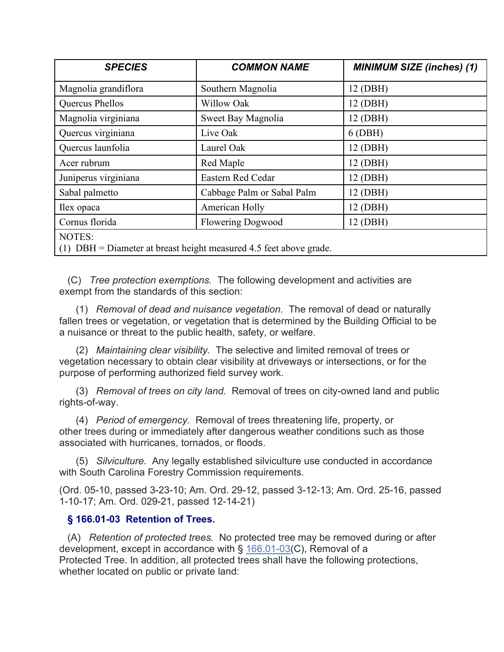| <b>SPECIES</b>                                                               | <b>COMMON NAME</b>         | <b>MINIMUM SIZE (inches) (1)</b> |  |
|------------------------------------------------------------------------------|----------------------------|----------------------------------|--|
| Magnolia grandiflora                                                         | Southern Magnolia          | 12 (DBH)                         |  |
| Quercus Phellos                                                              | Willow Oak                 | 12 (DBH)                         |  |
| Magnolia virginiana                                                          | Sweet Bay Magnolia         | 12 (DBH)                         |  |
| Quercus virginiana                                                           | Live Oak                   | $6$ (DBH)                        |  |
| Quercus launfolia                                                            | Laurel Oak                 | 12 (DBH)                         |  |
| Acer rubrum                                                                  | Red Maple                  | 12 (DBH)                         |  |
| Juniperus virginiana                                                         | Eastern Red Cedar          | 12 (DBH)                         |  |
| Sabal palmetto                                                               | Cabbage Palm or Sabal Palm | 12 (DBH)                         |  |
| Ilex opaca                                                                   | American Holly             | 12 (DBH)                         |  |
| Cornus florida                                                               | <b>Flowering Dogwood</b>   | 12 (DBH)                         |  |
| NOTES:<br>(1) DBH = Diameter at breast height measured 4.5 feet above grade. |                            |                                  |  |

 (C) *Tree protection exemptions.* The following development and activities are exempt from the standards of this section:

 (1) *Removal of dead and nuisance vegetation.* The removal of dead or naturally fallen trees or vegetation, or vegetation that is determined by the Building Official to be a nuisance or threat to the public health, safety, or welfare.

 (2) *Maintaining clear visibility.* The selective and limited removal of trees or vegetation necessary to obtain clear visibility at driveways or intersections, or for the purpose of performing authorized field survey work.

 (3) *Removal of trees on city land.* Removal of trees on city-owned land and public rights-of-way.

 (4) *Period of emergency.* Removal of trees threatening life, property, or other trees during or immediately after dangerous weather conditions such as those associated with hurricanes, tornados, or floods.

 (5) *Silviculture.* Any legally established silviculture use conducted in accordance with South Carolina Forestry Commission requirements.

(Ord. 05-10, passed 3-23-10; Am. Ord. 29-12, passed 3-12-13; Am. Ord. 25-16, passed 1-10-17; Am. Ord. 029-21, passed 12-14-21)

### **§ 166.01-03 Retention of Trees.**

 (A) *Retention of protected trees.* No protected tree may be removed during or after development, except in accordance with § [166.01-03\(](https://codelibrary.amlegal.com/codes/follybeach/latest/follyb_sc/0-0-0-29969#JD_166.01-03)C), Removal of a Protected Tree. In addition, all protected trees shall have the following protections, whether located on public or private land: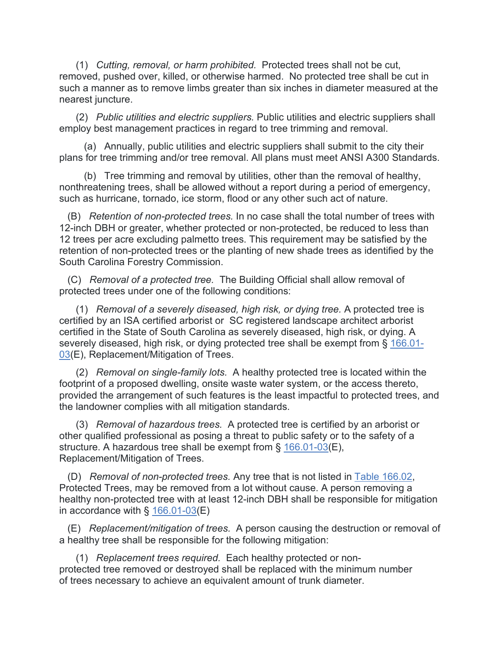(1) *Cutting, removal, or harm prohibited.* Protected trees shall not be cut, removed, pushed over, killed, or otherwise harmed. No protected tree shall be cut in such a manner as to remove limbs greater than six inches in diameter measured at the nearest juncture.

 (2) *Public utilities and electric suppliers.* Public utilities and electric suppliers shall employ best management practices in regard to tree trimming and removal.

 (a) Annually, public utilities and electric suppliers shall submit to the city their plans for tree trimming and/or tree removal. All plans must meet ANSI A300 Standards.

 (b) Tree trimming and removal by utilities, other than the removal of healthy, nonthreatening trees, shall be allowed without a report during a period of emergency, such as hurricane, tornado, ice storm, flood or any other such act of nature.

 (B) *Retention of non-protected trees.* In no case shall the total number of trees with 12-inch DBH or greater, whether protected or non-protected, be reduced to less than 12 trees per acre excluding palmetto trees. This requirement may be satisfied by the retention of non-protected trees or the planting of new shade trees as identified by the South Carolina Forestry Commission.

 (C) *Removal of a protected tree.* The Building Official shall allow removal of protected trees under one of the following conditions:

 (1) *Removal of a severely diseased, high risk, or dying tree.* A protected tree is certified by an ISA certified arborist or SC registered landscape architect arborist certified in the State of South Carolina as severely diseased, high risk, or dying. A severely diseased, high risk, or dying protected tree shall be exempt from § [166.01-](https://codelibrary.amlegal.com/codes/follybeach/latest/follyb_sc/0-0-0-29969#JD_166.01-03) [03\(](https://codelibrary.amlegal.com/codes/follybeach/latest/follyb_sc/0-0-0-29969#JD_166.01-03)E), Replacement/Mitigation of Trees.

 (2) *Removal on single-family lots.* A healthy protected tree is located within the footprint of a proposed dwelling, onsite waste water system, or the access thereto, provided the arrangement of such features is the least impactful to protected trees, and the landowner complies with all mitigation standards.

 (3) *Removal of hazardous trees.* A protected tree is certified by an arborist or other qualified professional as posing a threat to public safety or to the safety of a structure. A hazardous tree shall be exempt from § [166.01-03\(](https://codelibrary.amlegal.com/codes/follybeach/latest/follyb_sc/0-0-0-29969#JD_166.01-03)E), Replacement/Mitigation of Trees.

 (D) *Removal of non-protected trees.* Any tree that is not listed in [Table 166.02,](https://codelibrary.amlegal.com/codes/follybeach/latest/follyb_sc/#JD_Table166.02) Protected Trees, may be removed from a lot without cause. A person removing a healthy non-protected tree with at least 12-inch DBH shall be responsible for mitigation in accordance with  $\S$  [166.01-03\(](https://codelibrary.amlegal.com/codes/follybeach/latest/follyb_sc/0-0-0-29969#JD_166.01-03)E)

 (E) *Replacement/mitigation of trees.* A person causing the destruction or removal of a healthy tree shall be responsible for the following mitigation:

 (1) *Replacement trees required.* Each healthy protected or nonprotected tree removed or destroyed shall be replaced with the minimum number of trees necessary to achieve an equivalent amount of trunk diameter.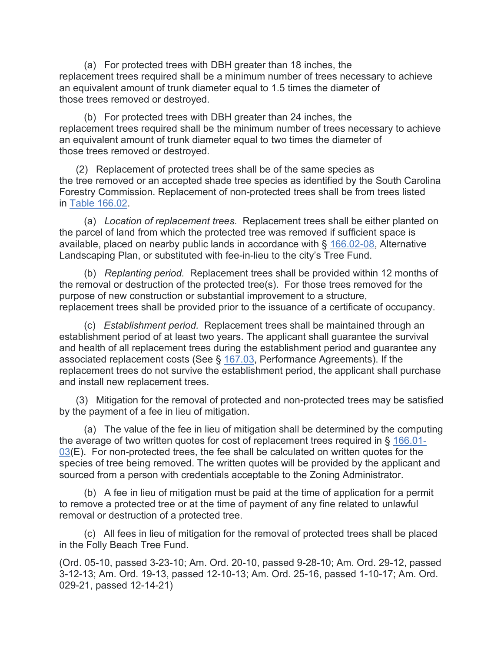(a) For protected trees with DBH greater than 18 inches, the replacement trees required shall be a minimum number of trees necessary to achieve an equivalent amount of trunk diameter equal to 1.5 times the diameter of those trees removed or destroyed.

 (b) For protected trees with DBH greater than 24 inches, the replacement trees required shall be the minimum number of trees necessary to achieve an equivalent amount of trunk diameter equal to two times the diameter of those trees removed or destroyed.

 (2) Replacement of protected trees shall be of the same species as the tree removed or an accepted shade tree species as identified by the South Carolina Forestry Commission. Replacement of non-protected trees shall be from trees listed in [Table 166.02.](https://codelibrary.amlegal.com/codes/follybeach/latest/follyb_sc/#JD_Table166.02)

 (a) *Location of replacement trees.* Replacement trees shall be either planted on the parcel of land from which the protected tree was removed if sufficient space is available, placed on nearby public lands in accordance with § [166.02-08,](https://codelibrary.amlegal.com/codes/follybeach/latest/follyb_sc/0-0-0-30183#JD_166.02-08) Alternative Landscaping Plan, or substituted with fee-in-lieu to the city's Tree Fund.

 (b) *Replanting period.* Replacement trees shall be provided within 12 months of the removal or destruction of the protected tree(s). For those trees removed for the purpose of new construction or substantial improvement to a structure, replacement trees shall be provided prior to the issuance of a certificate of occupancy.

 (c) *Establishment period.* Replacement trees shall be maintained through an establishment period of at least two years. The applicant shall guarantee the survival and health of all replacement trees during the establishment period and guarantee any associated replacement costs (See § [167.03,](https://codelibrary.amlegal.com/codes/follybeach/latest/follyb_sc/0-0-0-30857#JD_167.03) Performance Agreements). If the replacement trees do not survive the establishment period, the applicant shall purchase and install new replacement trees.

 (3) Mitigation for the removal of protected and non-protected trees may be satisfied by the payment of a fee in lieu of mitigation.

 (a) The value of the fee in lieu of mitigation shall be determined by the computing the average of two written quotes for cost of replacement trees required in § [166.01-](https://codelibrary.amlegal.com/codes/follybeach/latest/follyb_sc/0-0-0-29969#JD_166.01-03) [03\(](https://codelibrary.amlegal.com/codes/follybeach/latest/follyb_sc/0-0-0-29969#JD_166.01-03)E). For non-protected trees, the fee shall be calculated on written quotes for the species of tree being removed. The written quotes will be provided by the applicant and sourced from a person with credentials acceptable to the Zoning Administrator.

 (b) A fee in lieu of mitigation must be paid at the time of application for a permit to remove a protected tree or at the time of payment of any fine related to unlawful removal or destruction of a protected tree.

 (c) All fees in lieu of mitigation for the removal of protected trees shall be placed in the Folly Beach Tree Fund.

(Ord. 05-10, passed 3-23-10; Am. Ord. 20-10, passed 9-28-10; Am. Ord. 29-12, passed 3-12-13; Am. Ord. 19-13, passed 12-10-13; Am. Ord. 25-16, passed 1-10-17; Am. Ord. 029-21, passed 12-14-21)